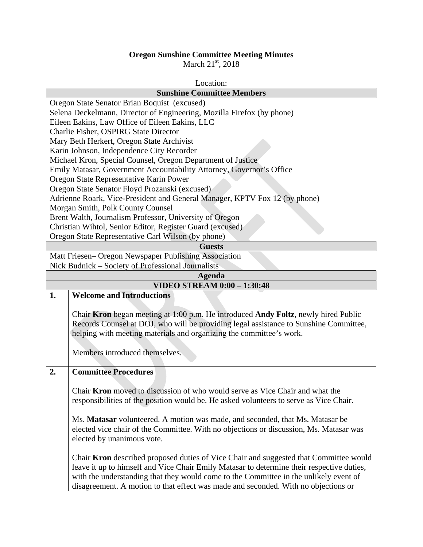## **Oregon Sunshine Committee Meeting Minutes**

March  $21<sup>st</sup>$ , 2018

| Location:                                                              |                                                                                           |  |  |
|------------------------------------------------------------------------|-------------------------------------------------------------------------------------------|--|--|
|                                                                        | <b>Sunshine Committee Members</b>                                                         |  |  |
| Oregon State Senator Brian Boquist (excused)                           |                                                                                           |  |  |
| Selena Deckelmann, Director of Engineering, Mozilla Firefox (by phone) |                                                                                           |  |  |
| Eileen Eakins, Law Office of Eileen Eakins, LLC                        |                                                                                           |  |  |
|                                                                        | Charlie Fisher, OSPIRG State Director                                                     |  |  |
|                                                                        | Mary Beth Herkert, Oregon State Archivist                                                 |  |  |
|                                                                        | Karin Johnson, Independence City Recorder                                                 |  |  |
|                                                                        | Michael Kron, Special Counsel, Oregon Department of Justice                               |  |  |
|                                                                        | Emily Matasar, Government Accountability Attorney, Governor's Office                      |  |  |
|                                                                        | Oregon State Representative Karin Power                                                   |  |  |
|                                                                        | Oregon State Senator Floyd Prozanski (excused)                                            |  |  |
|                                                                        | Adrienne Roark, Vice-President and General Manager, KPTV Fox 12 (by phone)                |  |  |
|                                                                        | Morgan Smith, Polk County Counsel                                                         |  |  |
|                                                                        | Brent Walth, Journalism Professor, University of Oregon                                   |  |  |
|                                                                        | Christian Wihtol, Senior Editor, Register Guard (excused)                                 |  |  |
|                                                                        | Oregon State Representative Carl Wilson (by phone)                                        |  |  |
|                                                                        | <b>Guests</b>                                                                             |  |  |
|                                                                        | Matt Friesen- Oregon Newspaper Publishing Association                                     |  |  |
|                                                                        | Nick Budnick – Society of Professional Journalists                                        |  |  |
|                                                                        | <b>Agenda</b>                                                                             |  |  |
|                                                                        | <b>VIDEO STREAM 0:00 - 1:30:48</b>                                                        |  |  |
| 1.                                                                     | <b>Welcome and Introductions</b>                                                          |  |  |
|                                                                        |                                                                                           |  |  |
|                                                                        | Chair Kron began meeting at 1:00 p.m. He introduced Andy Foltz, newly hired Public        |  |  |
|                                                                        | Records Counsel at DOJ, who will be providing legal assistance to Sunshine Committee,     |  |  |
|                                                                        | helping with meeting materials and organizing the committee's work.                       |  |  |
|                                                                        |                                                                                           |  |  |
|                                                                        | Members introduced themselves.                                                            |  |  |
|                                                                        |                                                                                           |  |  |
| 2.                                                                     | <b>Committee Procedures</b>                                                               |  |  |
|                                                                        |                                                                                           |  |  |
|                                                                        | Chair <b>Kron</b> moved to discussion of who would serve as Vice Chair and what the       |  |  |
|                                                                        | responsibilities of the position would be. He asked volunteers to serve as Vice Chair.    |  |  |
|                                                                        |                                                                                           |  |  |
|                                                                        | Ms. Matasar volunteered. A motion was made, and seconded, that Ms. Matasar be             |  |  |
|                                                                        | elected vice chair of the Committee. With no objections or discussion, Ms. Matasar was    |  |  |
|                                                                        | elected by unanimous vote.                                                                |  |  |
|                                                                        |                                                                                           |  |  |
|                                                                        |                                                                                           |  |  |
|                                                                        | Chair Kron described proposed duties of Vice Chair and suggested that Committee would     |  |  |
|                                                                        | leave it up to himself and Vice Chair Emily Matasar to determine their respective duties, |  |  |
|                                                                        | with the understanding that they would come to the Committee in the unlikely event of     |  |  |
|                                                                        | disagreement. A motion to that effect was made and seconded. With no objections or        |  |  |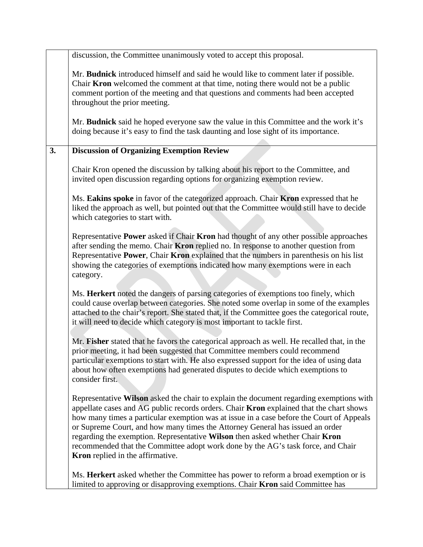|    | discussion, the Committee unanimously voted to accept this proposal.                                                                                                                                                                                                                                                                                                                                                                                                                                                                                                    |
|----|-------------------------------------------------------------------------------------------------------------------------------------------------------------------------------------------------------------------------------------------------------------------------------------------------------------------------------------------------------------------------------------------------------------------------------------------------------------------------------------------------------------------------------------------------------------------------|
|    | Mr. Budnick introduced himself and said he would like to comment later if possible.<br>Chair <b>Kron</b> welcomed the comment at that time, noting there would not be a public<br>comment portion of the meeting and that questions and comments had been accepted<br>throughout the prior meeting.                                                                                                                                                                                                                                                                     |
|    | Mr. Budnick said he hoped everyone saw the value in this Committee and the work it's<br>doing because it's easy to find the task daunting and lose sight of its importance.                                                                                                                                                                                                                                                                                                                                                                                             |
| 3. | <b>Discussion of Organizing Exemption Review</b>                                                                                                                                                                                                                                                                                                                                                                                                                                                                                                                        |
|    | Chair Kron opened the discussion by talking about his report to the Committee, and<br>invited open discussion regarding options for organizing exemption review.                                                                                                                                                                                                                                                                                                                                                                                                        |
|    | Ms. Eakins spoke in favor of the categorized approach. Chair Kron expressed that he<br>liked the approach as well, but pointed out that the Committee would still have to decide<br>which categories to start with.                                                                                                                                                                                                                                                                                                                                                     |
|    | Representative Power asked if Chair Kron had thought of any other possible approaches<br>after sending the memo. Chair Kron replied no. In response to another question from<br>Representative Power, Chair Kron explained that the numbers in parenthesis on his list<br>showing the categories of exemptions indicated how many exemptions were in each<br>category.                                                                                                                                                                                                  |
|    | Ms. Herkert noted the dangers of parsing categories of exemptions too finely, which<br>could cause overlap between categories. She noted some overlap in some of the examples<br>attached to the chair's report. She stated that, if the Committee goes the categorical route,<br>it will need to decide which category is most important to tackle first.                                                                                                                                                                                                              |
|    | Mr. Fisher stated that he favors the categorical approach as well. He recalled that, in the<br>prior meeting, it had been suggested that Committee members could recommend<br>particular exemptions to start with. He also expressed support for the idea of using data<br>about how often exemptions had generated disputes to decide which exemptions to<br>consider first.                                                                                                                                                                                           |
|    | Representative Wilson asked the chair to explain the document regarding exemptions with<br>appellate cases and AG public records orders. Chair Kron explained that the chart shows<br>how many times a particular exemption was at issue in a case before the Court of Appeals<br>or Supreme Court, and how many times the Attorney General has issued an order<br>regarding the exemption. Representative Wilson then asked whether Chair Kron<br>recommended that the Committee adopt work done by the AG's task force, and Chair<br>Kron replied in the affirmative. |
|    | Ms. Herkert asked whether the Committee has power to reform a broad exemption or is<br>limited to approving or disapproving exemptions. Chair Kron said Committee has                                                                                                                                                                                                                                                                                                                                                                                                   |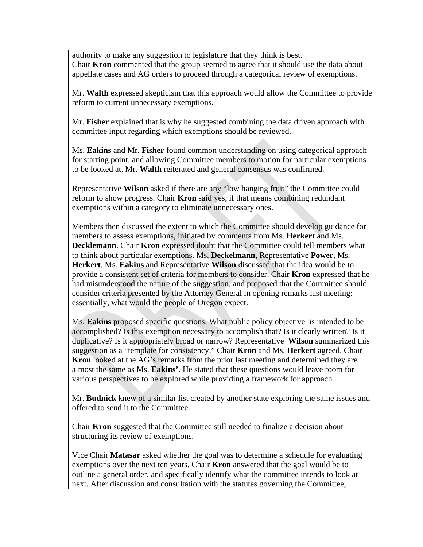authority to make any suggestion to legislature that they think is best. Chair **Kron** commented that the group seemed to agree that it should use the data about appellate cases and AG orders to proceed through a categorical review of exemptions.

Mr. **Walth** expressed skepticism that this approach would allow the Committee to provide reform to current unnecessary exemptions.

Mr. **Fisher** explained that is why he suggested combining the data driven approach with committee input regarding which exemptions should be reviewed.

Ms. **Eakins** and Mr. **Fisher** found common understanding on using categorical approach for starting point, and allowing Committee members to motion for particular exemptions to be looked at. Mr. **Walth** reiterated and general consensus was confirmed.

Representative **Wilson** asked if there are any "low hanging fruit" the Committee could reform to show progress. Chair **Kron** said yes, if that means combining redundant exemptions within a category to eliminate unnecessary ones.

Members then discussed the extent to which the Committee should develop guidance for members to assess exemptions, initiated by comments from Ms. **Herkert** and Ms. **Decklemann**. Chair **Kron** expressed doubt that the Committee could tell members what to think about particular exemptions. Ms. **Deckelmann**, Representative **Power**, Ms. **Herkert**, Ms. **Eakins** and Representative **Wilson** discussed that the idea would be to provide a consistent set of criteria for members to consider. Chair **Kron** expressed that he had misunderstood the nature of the suggestion, and proposed that the Committee should consider criteria presented by the Attorney General in opening remarks last meeting: essentially, what would the people of Oregon expect.

Ms. **Eakins** proposed specific questions. What public policy objective is intended to be accomplished? Is this exemption necessary to accomplish that? Is it clearly written? Is it duplicative? Is it appropriately broad or narrow? Representative **Wilson** summarized this suggestion as a "template for consistency." Chair **Kron** and Ms. **Herkert** agreed. Chair **Kron** looked at the AG's remarks from the prior last meeting and determined they are almost the same as Ms. **Eakins'**. He stated that these questions would leave room for various perspectives to be explored while providing a framework for approach.

Mr. **Budnick** knew of a similar list created by another state exploring the same issues and offered to send it to the Committee.

Chair **Kron** suggested that the Committee still needed to finalize a decision about structuring its review of exemptions.

Vice Chair **Matasar** asked whether the goal was to determine a schedule for evaluating exemptions over the next ten years. Chair **Kron** answered that the goal would be to outline a general order, and specifically identify what the committee intends to look at next. After discussion and consultation with the statutes governing the Committee,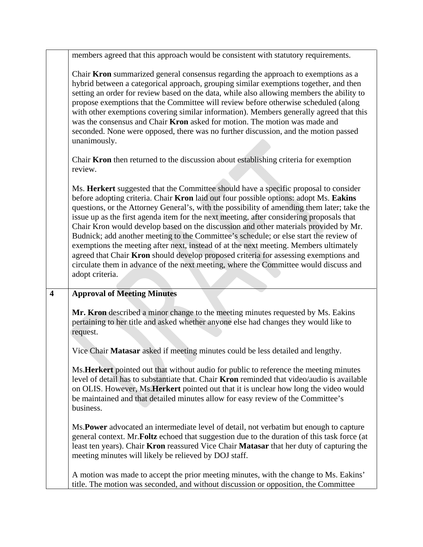|                         | members agreed that this approach would be consistent with statutory requirements.                                                                                                                                                                                                                                                                                                                                                                                                                                                                                                                                                                                                                                                                                                                                                                    |
|-------------------------|-------------------------------------------------------------------------------------------------------------------------------------------------------------------------------------------------------------------------------------------------------------------------------------------------------------------------------------------------------------------------------------------------------------------------------------------------------------------------------------------------------------------------------------------------------------------------------------------------------------------------------------------------------------------------------------------------------------------------------------------------------------------------------------------------------------------------------------------------------|
|                         | Chair Kron summarized general consensus regarding the approach to exemptions as a<br>hybrid between a categorical approach, grouping similar exemptions together, and then<br>setting an order for review based on the data, while also allowing members the ability to<br>propose exemptions that the Committee will review before otherwise scheduled (along<br>with other exemptions covering similar information). Members generally agreed that this<br>was the consensus and Chair <b>Kron</b> asked for motion. The motion was made and<br>seconded. None were opposed, there was no further discussion, and the motion passed<br>unanimously.                                                                                                                                                                                                 |
|                         | Chair <b>Kron</b> then returned to the discussion about establishing criteria for exemption<br>review.                                                                                                                                                                                                                                                                                                                                                                                                                                                                                                                                                                                                                                                                                                                                                |
|                         | Ms. Herkert suggested that the Committee should have a specific proposal to consider<br>before adopting criteria. Chair Kron laid out four possible options: adopt Ms. Eakins<br>questions, or the Attorney General's, with the possibility of amending them later; take the<br>issue up as the first agenda item for the next meeting, after considering proposals that<br>Chair Kron would develop based on the discussion and other materials provided by Mr.<br>Budnick; add another meeting to the Committee's schedule; or else start the review of<br>exemptions the meeting after next, instead of at the next meeting. Members ultimately<br>agreed that Chair Kron should develop proposed criteria for assessing exemptions and<br>circulate them in advance of the next meeting, where the Committee would discuss and<br>adopt criteria. |
| $\overline{\mathbf{4}}$ | <b>Approval of Meeting Minutes</b>                                                                                                                                                                                                                                                                                                                                                                                                                                                                                                                                                                                                                                                                                                                                                                                                                    |
|                         |                                                                                                                                                                                                                                                                                                                                                                                                                                                                                                                                                                                                                                                                                                                                                                                                                                                       |
|                         | Mr. Kron described a minor change to the meeting minutes requested by Ms. Eakins<br>pertaining to her title and asked whether anyone else had changes they would like to<br>request.                                                                                                                                                                                                                                                                                                                                                                                                                                                                                                                                                                                                                                                                  |
|                         | Vice Chair Matasar asked if meeting minutes could be less detailed and lengthy.                                                                                                                                                                                                                                                                                                                                                                                                                                                                                                                                                                                                                                                                                                                                                                       |
|                         | Ms. Herkert pointed out that without audio for public to reference the meeting minutes<br>level of detail has to substantiate that. Chair <b>Kron</b> reminded that video/audio is available<br>on OLIS. However, Ms. Herkert pointed out that it is unclear how long the video would<br>be maintained and that detailed minutes allow for easy review of the Committee's<br>business.                                                                                                                                                                                                                                                                                                                                                                                                                                                                |
|                         | Ms. Power advocated an intermediate level of detail, not verbatim but enough to capture<br>general context. Mr. Foltz echoed that suggestion due to the duration of this task force (at<br>least ten years). Chair Kron reassured Vice Chair Matasar that her duty of capturing the<br>meeting minutes will likely be relieved by DOJ staff.                                                                                                                                                                                                                                                                                                                                                                                                                                                                                                          |
|                         | A motion was made to accept the prior meeting minutes, with the change to Ms. Eakins'<br>title. The motion was seconded, and without discussion or opposition, the Committee                                                                                                                                                                                                                                                                                                                                                                                                                                                                                                                                                                                                                                                                          |